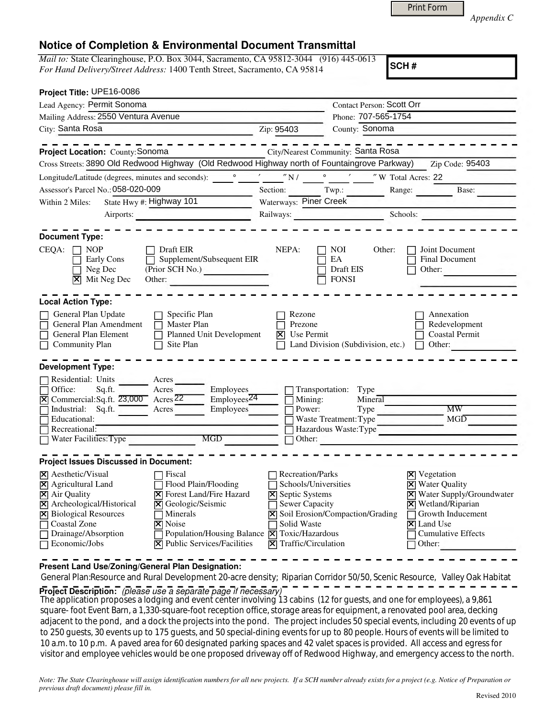|  | <b>Print Form</b> |  |
|--|-------------------|--|
|  |                   |  |

*Appendix C* 

## **Notice of Completion & Environmental Document Transmittal**

*Mail to:* State Clearinghouse, P.O. Box 3044, Sacramento, CA 95812-3044 (916) 445-0613 *For Hand Delivery/Street Address:* 1400 Tenth Street, Sacramento, CA 95814

**SCH #**

| Project Title: UPE16-0086                                                                                                                                                                                                                                                                                                                                                                                                                                    |                                                                                                                                                        |                                                                                                    |                                                                                                                                                                                                    |
|--------------------------------------------------------------------------------------------------------------------------------------------------------------------------------------------------------------------------------------------------------------------------------------------------------------------------------------------------------------------------------------------------------------------------------------------------------------|--------------------------------------------------------------------------------------------------------------------------------------------------------|----------------------------------------------------------------------------------------------------|----------------------------------------------------------------------------------------------------------------------------------------------------------------------------------------------------|
| Lead Agency: Permit Sonoma                                                                                                                                                                                                                                                                                                                                                                                                                                   |                                                                                                                                                        | Contact Person: Scott Orr                                                                          |                                                                                                                                                                                                    |
| Mailing Address: 2550 Ventura Avenue                                                                                                                                                                                                                                                                                                                                                                                                                         |                                                                                                                                                        | Phone: 707-565-1754                                                                                |                                                                                                                                                                                                    |
| City: Santa Rosa<br><u> 1970 - Jan James James Jan James James James James James James James James James James James James James James</u>                                                                                                                                                                                                                                                                                                                   | Zip: 95403                                                                                                                                             | County: Sonoma                                                                                     |                                                                                                                                                                                                    |
| Project Location: County: Sonoma                                                                                                                                                                                                                                                                                                                                                                                                                             |                                                                                                                                                        | City/Nearest Community: Santa Rosa                                                                 |                                                                                                                                                                                                    |
| Cross Streets: 3890 Old Redwood Highway (Old Redwood Highway north of Fountaingrove Parkway)                                                                                                                                                                                                                                                                                                                                                                 |                                                                                                                                                        |                                                                                                    | Zip Code: 95403                                                                                                                                                                                    |
| Longitude/Latitude (degrees, minutes and seconds):                                                                                                                                                                                                                                                                                                                                                                                                           |                                                                                                                                                        |                                                                                                    |                                                                                                                                                                                                    |
| Assessor's Parcel No.: 058-020-009                                                                                                                                                                                                                                                                                                                                                                                                                           |                                                                                                                                                        | Section: Twp.:                                                                                     | Range:<br>Base:                                                                                                                                                                                    |
| State Hwy #: Highway 101<br>Within 2 Miles:                                                                                                                                                                                                                                                                                                                                                                                                                  | Waterways: Piner Creek                                                                                                                                 |                                                                                                    |                                                                                                                                                                                                    |
| Airports:                                                                                                                                                                                                                                                                                                                                                                                                                                                    |                                                                                                                                                        | Railways:                                                                                          | Schools:<br>and the contract of the contract of the                                                                                                                                                |
| <b>Document Type:</b>                                                                                                                                                                                                                                                                                                                                                                                                                                        |                                                                                                                                                        |                                                                                                    |                                                                                                                                                                                                    |
| CEQA:<br>Draft EIR<br>NOP<br>Supplement/Subsequent EIR<br>Early Cons<br>(Prior SCH No.)<br>Neg Dec<br>Mit Neg Dec<br>Other:<br>⊠                                                                                                                                                                                                                                                                                                                             | NEPA:                                                                                                                                                  | <b>NOI</b><br>Other:<br>EA<br>Draft EIS<br><b>FONSI</b>                                            | Joint Document<br><b>Final Document</b><br>Other:                                                                                                                                                  |
| <b>Local Action Type:</b>                                                                                                                                                                                                                                                                                                                                                                                                                                    |                                                                                                                                                        |                                                                                                    |                                                                                                                                                                                                    |
| General Plan Update<br>Specific Plan<br>General Plan Amendment<br>Master Plan<br>Planned Unit Development<br>General Plan Element<br><b>Community Plan</b><br>Site Plan                                                                                                                                                                                                                                                                                      | Rezone<br>Prezone<br>Use Permit<br>冈                                                                                                                   | Land Division (Subdivision, etc.)                                                                  | Annexation<br>Redevelopment<br><b>Coastal Permit</b><br>Other:                                                                                                                                     |
| <b>Development Type:</b>                                                                                                                                                                                                                                                                                                                                                                                                                                     |                                                                                                                                                        |                                                                                                    |                                                                                                                                                                                                    |
| Residential: Units<br>Acres<br>Employees<br>Office:<br>Sq.ft.<br>Acres<br>Employes <sup>24</sup><br>$\text{A} \text{c} \text{r} \text{e} \text{s} \overline{\text{22}}$<br>$[\mathsf{\overline{X}}]$ Commercial: Sq.ft. $23,000$<br>Industrial: Sq.ft.<br>Employees<br>Acres<br>Educational:<br>Recreational:<br>MGD<br>Water Facilities: Type                                                                                                               | Mining:<br>Power:                                                                                                                                      | Transportation: Type<br>Mineral<br>Type<br>Waste Treatment: Type<br>Hazardous Waste:Type<br>Other: | <b>MW</b><br>MGD                                                                                                                                                                                   |
| <b>Project Issues Discussed in Document:</b>                                                                                                                                                                                                                                                                                                                                                                                                                 |                                                                                                                                                        |                                                                                                    |                                                                                                                                                                                                    |
| $ \mathbf{\nabla} $ Aesthetic/Visual<br>Fiscal<br>Flood Plain/Flooding<br>X Agricultural Land<br>X Air Quality<br><b>X</b> Forest Land/Fire Hazard<br>Archeological/Historical<br>Geologic/Seismic<br>$\mathsf X$<br>⊠<br><b>Biological Resources</b><br>Minerals<br>M<br>$ \mathsf{X} $ Noise<br>Coastal Zone<br>Drainage/Absorption<br>Population/Housing Balance   X   Toxic/Hazardous<br>$ \mathbf{\nabla} $ Public Services/Facilities<br>Economic/Jobs | <b>Recreation/Parks</b><br>Schools/Universities<br><b>X</b> Septic Systems<br>Sewer Capacity<br>Solid Waste<br>$ \mathbf{\nabla} $ Traffic/Circulation | Soil Erosion/Compaction/Grading                                                                    | <b>X</b> Vegetation<br><b>X</b> Water Quality<br><b>X</b> Water Supply/Groundwater<br>Wetland/Riparian<br>⊠<br>Growth Inducement<br>$ \mathsf{X} $ Land Use<br><b>Cumulative Effects</b><br>Other: |

**Present Land Use/Zoning/General Plan Designation:**

General Plan:Resource and Rural Development 20-acre density; Riparian Corridor 50/50, Scenic Resource, Valley Oak Habitat

**Project Description:** (please use a separate page if necessary)

 The application proposes a lodging and event center involving 13 cabins (12 for guests, and one for employees), a 9,861 square- foot Event Barn, a 1,330-square-foot reception office, storage areas for equipment, a renovated pool area, decking adjacent to the pond, and a dock the projects into the pond. The project includes 50 special events, including 20 events of up to 250 guests, 30 events up to 175 guests, and 50 special-dining events for up to 80 people. Hours of events will be limited to 10 a.m. to 10 p.m. A paved area for 60 designated parking spaces and 42 valet spaces is provided. All access and egress for visitor and employee vehicles would be one proposed driveway off of Redwood Highway, and emergency access to the north.

*Note: The State Clearinghouse will assign identification numbers for all new projects. If a SCH number already exists for a project (e.g. Notice of Preparation or previous draft document) please fill in.*